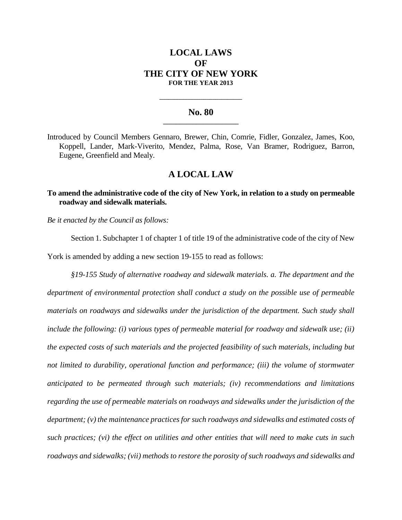# **LOCAL LAWS OF THE CITY OF NEW YORK FOR THE YEAR 2013**

### **No. 80 \_\_\_\_\_\_\_\_\_\_\_\_\_\_\_\_\_\_\_\_\_\_\_**

**\_\_\_\_\_\_\_\_\_\_\_\_\_\_\_\_\_\_\_\_\_\_\_\_\_\_\_\_**

Introduced by Council Members Gennaro, Brewer, Chin, Comrie, Fidler, Gonzalez, James, Koo, Koppell, Lander, Mark-Viverito, Mendez, Palma, Rose, Van Bramer, Rodriguez, Barron, Eugene, Greenfield and Mealy.

## **A LOCAL LAW**

### **To amend the administrative code of the city of New York, in relation to a study on permeable roadway and sidewalk materials.**

*Be it enacted by the Council as follows:*

Section 1. Subchapter 1 of chapter 1 of title 19 of the administrative code of the city of New York is amended by adding a new section 19-155 to read as follows:

*§19-155 Study of alternative roadway and sidewalk materials. a. The department and the department of environmental protection shall conduct a study on the possible use of permeable materials on roadways and sidewalks under the jurisdiction of the department. Such study shall include the following: (i) various types of permeable material for roadway and sidewalk use; (ii) the expected costs of such materials and the projected feasibility of such materials, including but not limited to durability, operational function and performance; (iii) the volume of stormwater anticipated to be permeated through such materials; (iv) recommendations and limitations regarding the use of permeable materials on roadways and sidewalks under the jurisdiction of the department; (v) the maintenance practices for such roadways and sidewalks and estimated costs of such practices; (vi) the effect on utilities and other entities that will need to make cuts in such roadways and sidewalks; (vii) methods to restore the porosity of such roadways and sidewalks and*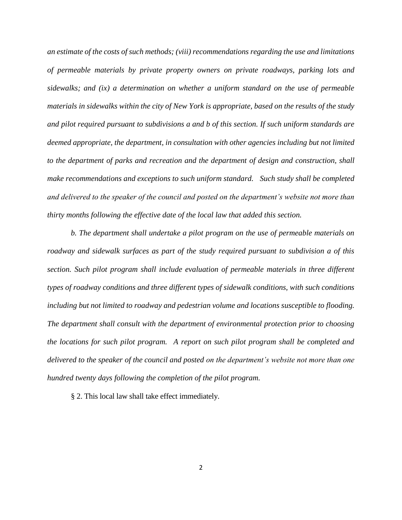*an estimate of the costs of such methods; (viii) recommendations regarding the use and limitations of permeable materials by private property owners on private roadways, parking lots and sidewalks; and (ix) a determination on whether a uniform standard on the use of permeable materials in sidewalks within the city of New York is appropriate, based on the results of the study and pilot required pursuant to subdivisions a and b of this section. If such uniform standards are deemed appropriate, the department, in consultation with other agencies including but not limited to the department of parks and recreation and the department of design and construction, shall make recommendations and exceptions to such uniform standard. Such study shall be completed and delivered to the speaker of the council and posted on the department's website not more than thirty months following the effective date of the local law that added this section.*

*b. The department shall undertake a pilot program on the use of permeable materials on roadway and sidewalk surfaces as part of the study required pursuant to subdivision a of this section. Such pilot program shall include evaluation of permeable materials in three different types of roadway conditions and three different types of sidewalk conditions, with such conditions including but not limited to roadway and pedestrian volume and locations susceptible to flooding. The department shall consult with the department of environmental protection prior to choosing the locations for such pilot program. A report on such pilot program shall be completed and delivered to the speaker of the council and posted on the department's website not more than one hundred twenty days following the completion of the pilot program.*

§ 2. This local law shall take effect immediately.